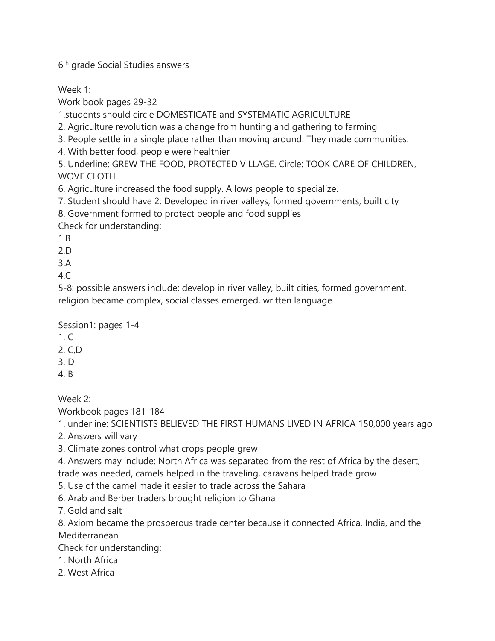6<sup>th</sup> grade Social Studies answers

Week 1:

Work book pages 29-32

1.students should circle DOMESTICATE and SYSTEMATIC AGRICULTURE

2. Agriculture revolution was a change from hunting and gathering to farming

3. People settle in a single place rather than moving around. They made communities.

4. With better food, people were healthier

5. Underline: GREW THE FOOD, PROTECTED VILLAGE. Circle: TOOK CARE OF CHILDREN, WOVE CLOTH

6. Agriculture increased the food supply. Allows people to specialize.

7. Student should have 2: Developed in river valleys, formed governments, built city

8. Government formed to protect people and food supplies

Check for understanding:

1.B

2.D

3.A

 $4<sub>c</sub>$ 

5-8: possible answers include: develop in river valley, built cities, formed government, religion became complex, social classes emerged, written language

Session1: pages 1-4

- 1. C
- 2. C,D
- 3. D
- 4. B

Week 2:

Workbook pages 181-184

1. underline: SCIENTISTS BELIEVED THE FIRST HUMANS LIVED IN AFRICA 150,000 years ago

2. Answers will vary

3. Climate zones control what crops people grew

4. Answers may include: North Africa was separated from the rest of Africa by the desert, trade was needed, camels helped in the traveling, caravans helped trade grow

5. Use of the camel made it easier to trade across the Sahara

6. Arab and Berber traders brought religion to Ghana

7. Gold and salt

8. Axiom became the prosperous trade center because it connected Africa, India, and the Mediterranean

Check for understanding:

1. North Africa

2. West Africa